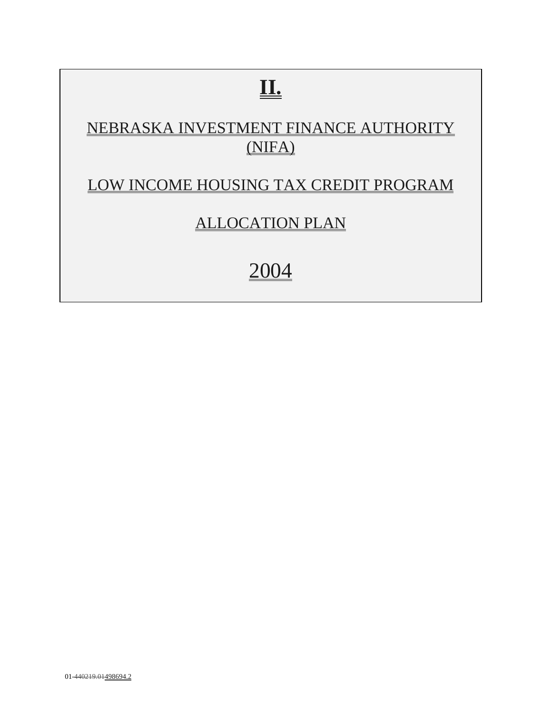# **II.**

# NEBRASKA INVESTMENT FINANCE AUTHORITY (NIFA)

# LOW INCOME HOUSING TAX CREDIT PROGRAM

# ALLOCATION PLAN

# 2004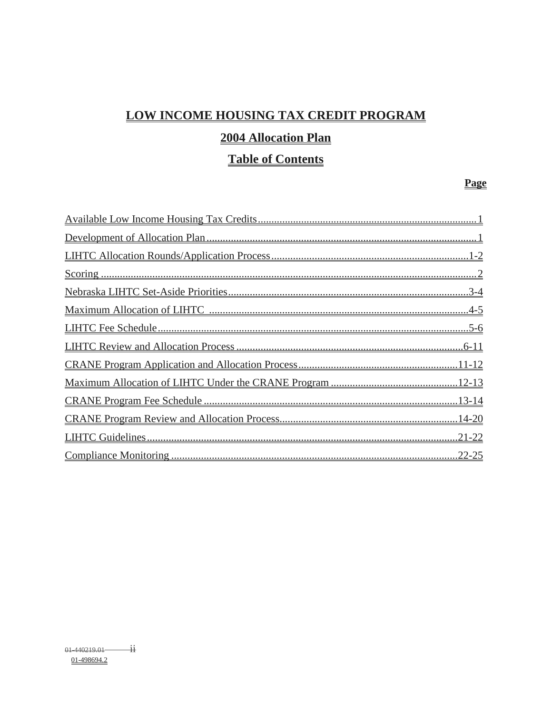# LOW INCOME HOUSING TAX CREDIT PROGRAM

## 2004 Allocation Plan

## **Table of Contents**

#### Page

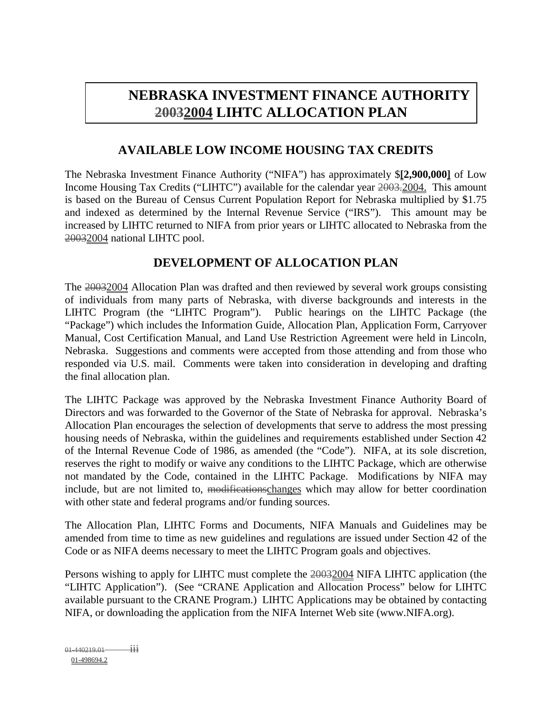# **NEBRASKA INVESTMENT FINANCE AUTHORITY 20032004 LIHTC ALLOCATION PLAN**

#### **AVAILABLE LOW INCOME HOUSING TAX CREDITS**

The Nebraska Investment Finance Authority ("NIFA") has approximately \$**[2,900,000]** of Low Income Housing Tax Credits ("LIHTC") available for the calendar year 2003.2004. This amount is based on the Bureau of Census Current Population Report for Nebraska multiplied by \$1.75 and indexed as determined by the Internal Revenue Service ("IRS"). This amount may be increased by LIHTC returned to NIFA from prior years or LIHTC allocated to Nebraska from the 20032004 national LIHTC pool.

#### **DEVELOPMENT OF ALLOCATION PLAN**

The 20032004 Allocation Plan was drafted and then reviewed by several work groups consisting of individuals from many parts of Nebraska, with diverse backgrounds and interests in the LIHTC Program (the "LIHTC Program"). Public hearings on the LIHTC Package (the "Package") which includes the Information Guide, Allocation Plan, Application Form, Carryover Manual, Cost Certification Manual, and Land Use Restriction Agreement were held in Lincoln, Nebraska. Suggestions and comments were accepted from those attending and from those who responded via U.S. mail. Comments were taken into consideration in developing and drafting the final allocation plan.

The LIHTC Package was approved by the Nebraska Investment Finance Authority Board of Directors and was forwarded to the Governor of the State of Nebraska for approval. Nebraska's Allocation Plan encourages the selection of developments that serve to address the most pressing housing needs of Nebraska, within the guidelines and requirements established under Section 42 of the Internal Revenue Code of 1986, as amended (the "Code"). NIFA, at its sole discretion, reserves the right to modify or waive any conditions to the LIHTC Package, which are otherwise not mandated by the Code, contained in the LIHTC Package. Modifications by NIFA may include, but are not limited to, modificationschanges which may allow for better coordination with other state and federal programs and/or funding sources.

The Allocation Plan, LIHTC Forms and Documents, NIFA Manuals and Guidelines may be amended from time to time as new guidelines and regulations are issued under Section 42 of the Code or as NIFA deems necessary to meet the LIHTC Program goals and objectives.

Persons wishing to apply for LIHTC must complete the 20032004 NIFA LIHTC application (the "LIHTC Application"). (See "CRANE Application and Allocation Process" below for LIHTC available pursuant to the CRANE Program.) LIHTC Applications may be obtained by contacting NIFA, or downloading the application from the NIFA Internet Web site (www.NIFA.org).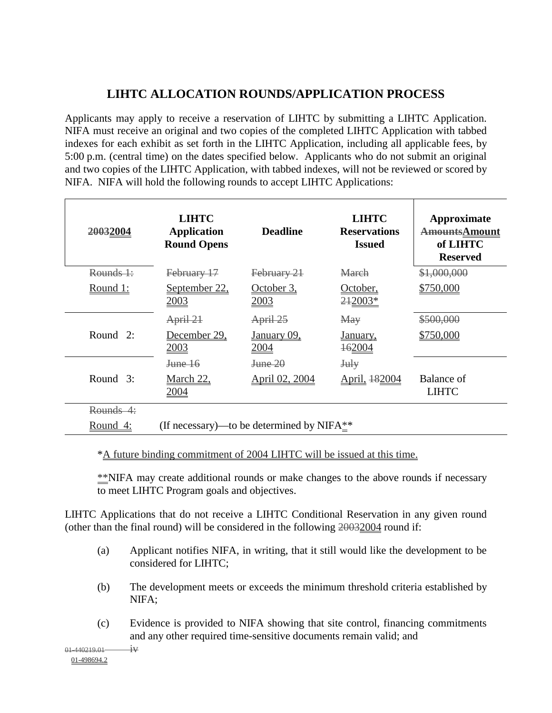## **LIHTC ALLOCATION ROUNDS/APPLICATION PROCESS**

Applicants may apply to receive a reservation of LIHTC by submitting a LIHTC Application. NIFA must receive an original and two copies of the completed LIHTC Application with tabbed indexes for each exhibit as set forth in the LIHTC Application, including all applicable fees, by 5:00 p.m. (central time) on the dates specified below. Applicants who do not submit an original and two copies of the LIHTC Application, with tabbed indexes, will not be reviewed or scored by NIFA. NIFA will hold the following rounds to accept LIHTC Applications:

| 20032004               | <b>LIHTC</b><br><b>Application</b><br><b>Round Opens</b> | <b>Deadline</b>                               | <b>LIHTC</b><br><b>Reservations</b><br><b>Issued</b> | Approximate<br><b>AmountsAmount</b><br>of LIHTC<br><b>Reserved</b> |
|------------------------|----------------------------------------------------------|-----------------------------------------------|------------------------------------------------------|--------------------------------------------------------------------|
| $R$ ounds $\ddagger$ : | February 17                                              | February 21                                   | March                                                | \$1,000,000                                                        |
| <u>Round 1:</u>        | September 22,<br><u>2003</u>                             | October 3,<br>2003                            | October,<br>242003*                                  | \$750,000                                                          |
|                        | April 21                                                 | April 25                                      | May                                                  | \$500,000                                                          |
| Round $2$ :            | December 29,<br>2003                                     | January 09,<br>2004                           | January,<br><b>162004</b>                            | \$750,000                                                          |
|                        | <del>June 16</del>                                       | <b>June 20</b>                                | July                                                 |                                                                    |
| Round $3$ :            | <b>March 22,</b><br>2004                                 | April 02, 2004                                | April, 482004                                        | Balance of<br><b>LIHTC</b>                                         |
| Rounds 4:              |                                                          |                                               |                                                      |                                                                    |
| Round 4:               |                                                          | (If necessary)—to be determined by NIFA $*$ * |                                                      |                                                                    |

\*A future binding commitment of 2004 LIHTC will be issued at this time.

\*\*NIFA may create additional rounds or make changes to the above rounds if necessary to meet LIHTC Program goals and objectives.

LIHTC Applications that do not receive a LIHTC Conditional Reservation in any given round (other than the final round) will be considered in the following 20032004 round if:

- (a) Applicant notifies NIFA, in writing, that it still would like the development to be considered for LIHTC;
- (b) The development meets or exceeds the minimum threshold criteria established by NIFA;
- (c) Evidence is provided to NIFA showing that site control, financing commitments and any other required time-sensitive documents remain valid; and

 $01-440219.01$  iv 01-498694.2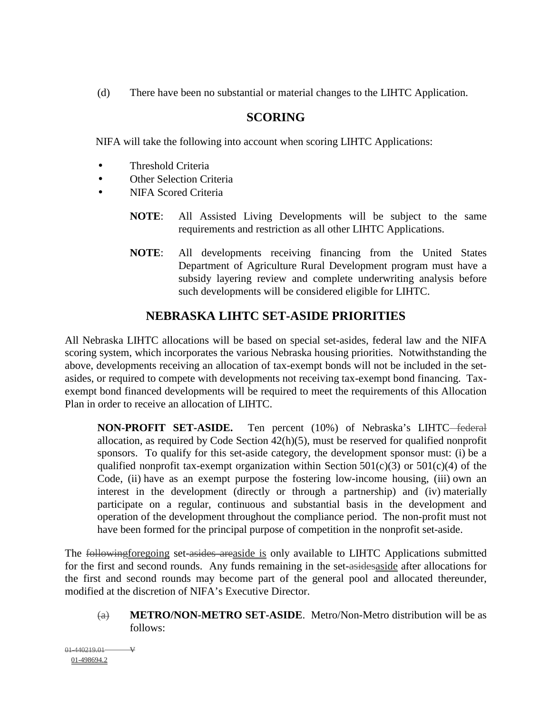(d) There have been no substantial or material changes to the LIHTC Application.

#### **SCORING**

NIFA will take the following into account when scoring LIHTC Applications:

- Threshold Criteria
- Other Selection Criteria
- NIFA Scored Criteria
	- **NOTE**: All Assisted Living Developments will be subject to the same requirements and restriction as all other LIHTC Applications.
	- **NOTE**: All developments receiving financing from the United States Department of Agriculture Rural Development program must have a subsidy layering review and complete underwriting analysis before such developments will be considered eligible for LIHTC.

## **NEBRASKA LIHTC SET-ASIDE PRIORITIES**

All Nebraska LIHTC allocations will be based on special set-asides, federal law and the NIFA scoring system, which incorporates the various Nebraska housing priorities. Notwithstanding the above, developments receiving an allocation of tax-exempt bonds will not be included in the setasides, or required to compete with developments not receiving tax-exempt bond financing. Taxexempt bond financed developments will be required to meet the requirements of this Allocation Plan in order to receive an allocation of LIHTC.

**NON-PROFIT SET-ASIDE.** Ten percent (10%) of Nebraska's LIHTC–federal allocation, as required by Code Section 42(h)(5), must be reserved for qualified nonprofit sponsors. To qualify for this set-aside category, the development sponsor must: (i) be a qualified nonprofit tax-exempt organization within Section  $501(c)(3)$  or  $501(c)(4)$  of the Code, (ii) have as an exempt purpose the fostering low-income housing, (iii) own an interest in the development (directly or through a partnership) and (iv) materially participate on a regular, continuous and substantial basis in the development and operation of the development throughout the compliance period. The non-profit must not have been formed for the principal purpose of competition in the nonprofit set-aside.

The following foregoing set-asides areaside is only available to LIHTC Applications submitted for the first and second rounds. Any funds remaining in the set-asidesaside after allocations for the first and second rounds may become part of the general pool and allocated thereunder, modified at the discretion of NIFA's Executive Director.

(a) **METRO/NON-METRO SET-ASIDE**. Metro/Non-Metro distribution will be as follows:

 $01-440219.01 -$ 01-498694.2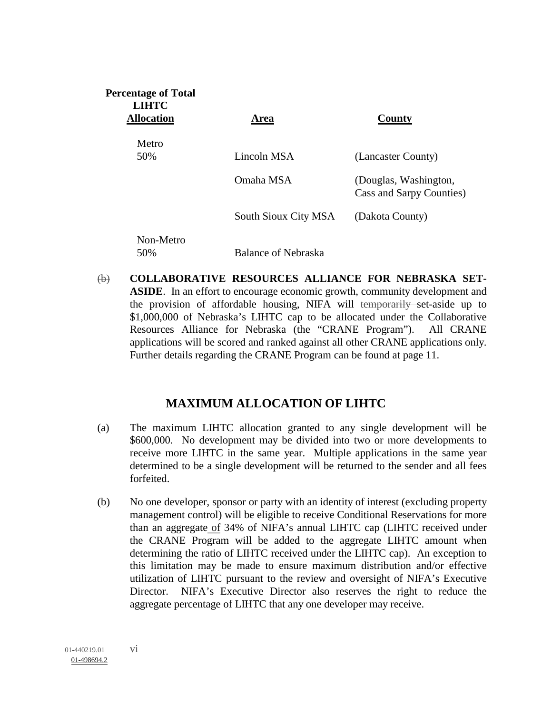| <b>Percentage of Total</b><br><b>LIHTC</b><br><b>Allocation</b> | Area                 | County                                            |
|-----------------------------------------------------------------|----------------------|---------------------------------------------------|
| Metro                                                           |                      |                                                   |
| 50%                                                             | Lincoln MSA          | (Lancaster County)                                |
|                                                                 | Omaha MSA            | (Douglas, Washington,<br>Cass and Sarpy Counties) |
|                                                                 | South Sioux City MSA | (Dakota County)                                   |
| Non-Metro<br>50%                                                | Balance of Nebraska  |                                                   |

(b) **COLLABORATIVE RESOURCES ALLIANCE FOR NEBRASKA SET-ASIDE**. In an effort to encourage economic growth, community development and the provision of affordable housing, NIFA will temporarily set-aside up to \$1,000,000 of Nebraska's LIHTC cap to be allocated under the Collaborative Resources Alliance for Nebraska (the "CRANE Program"). All CRANE applications will be scored and ranked against all other CRANE applications only. Further details regarding the CRANE Program can be found at page 11.

#### **MAXIMUM ALLOCATION OF LIHTC**

- (a) The maximum LIHTC allocation granted to any single development will be \$600,000. No development may be divided into two or more developments to receive more LIHTC in the same year. Multiple applications in the same year determined to be a single development will be returned to the sender and all fees forfeited.
- (b) No one developer, sponsor or party with an identity of interest (excluding property management control) will be eligible to receive Conditional Reservations for more than an aggregate of 34% of NIFA's annual LIHTC cap (LIHTC received under the CRANE Program will be added to the aggregate LIHTC amount when determining the ratio of LIHTC received under the LIHTC cap). An exception to this limitation may be made to ensure maximum distribution and/or effective utilization of LIHTC pursuant to the review and oversight of NIFA's Executive Director. NIFA's Executive Director also reserves the right to reduce the aggregate percentage of LIHTC that any one developer may receive.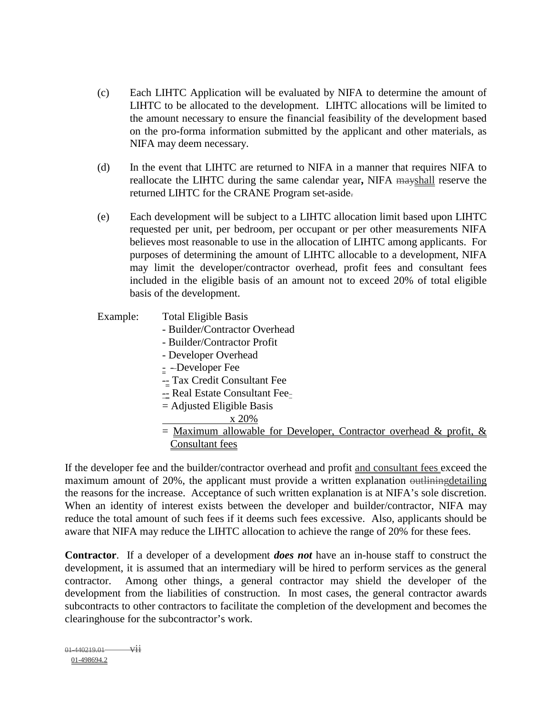- (c) Each LIHTC Application will be evaluated by NIFA to determine the amount of LIHTC to be allocated to the development. LIHTC allocations will be limited to the amount necessary to ensure the financial feasibility of the development based on the pro-forma information submitted by the applicant and other materials, as NIFA may deem necessary.
- (d) In the event that LIHTC are returned to NIFA in a manner that requires NIFA to reallocate the LIHTC during the same calendar year**,** NIFA mayshall reserve the returned LIHTC for the CRANE Program set-aside.
- (e) Each development will be subject to a LIHTC allocation limit based upon LIHTC requested per unit, per bedroom, per occupant or per other measurements NIFA believes most reasonable to use in the allocation of LIHTC among applicants. For purposes of determining the amount of LIHTC allocable to a development, NIFA may limit the developer/contractor overhead, profit fees and consultant fees included in the eligible basis of an amount not to exceed 20% of total eligible basis of the development.
- Example: Total Eligible Basis
	- Builder/Contractor Overhead
	- Builder/Contractor Profit
	- Developer Overhead
	- $\leq$  -Developer Fee
	- $-$  Tax Credit Consultant Fee
	- $=$  Real Estate Consultant Fee $=$
	- = Adjusted Eligible Basis
		- x 20%
	- $=$  Maximum allowable for Developer, Contractor overhead & profit, & Consultant fees

If the developer fee and the builder/contractor overhead and profit and consultant fees exceed the maximum amount of 20%, the applicant must provide a written explanation outliningdetailing the reasons for the increase. Acceptance of such written explanation is at NIFA's sole discretion. When an identity of interest exists between the developer and builder/contractor, NIFA may reduce the total amount of such fees if it deems such fees excessive. Also, applicants should be aware that NIFA may reduce the LIHTC allocation to achieve the range of 20% for these fees.

**Contractor**. If a developer of a development *does not* have an in-house staff to construct the development, it is assumed that an intermediary will be hired to perform services as the general contractor. Among other things, a general contractor may shield the developer of the development from the liabilities of construction. In most cases, the general contractor awards subcontracts to other contractors to facilitate the completion of the development and becomes the clearinghouse for the subcontractor's work.

 $01-440219.01$  vii 01-498694.2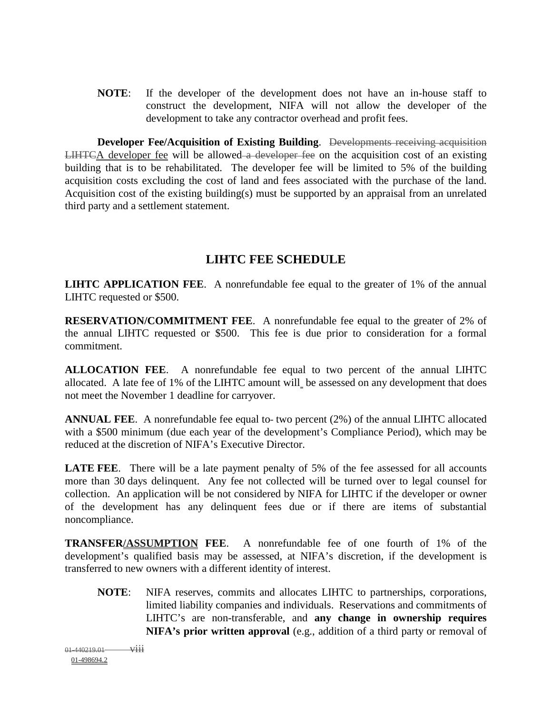**NOTE**: If the developer of the development does not have an in-house staff to construct the development, NIFA will not allow the developer of the development to take any contractor overhead and profit fees.

**Developer Fee/Acquisition of Existing Building**. Developments receiving acquisition LIHTCA developer fee will be allowed a developer fee on the acquisition cost of an existing building that is to be rehabilitated. The developer fee will be limited to 5% of the building acquisition costs excluding the cost of land and fees associated with the purchase of the land. Acquisition cost of the existing building(s) must be supported by an appraisal from an unrelated third party and a settlement statement.

#### **LIHTC FEE SCHEDULE**

**LIHTC APPLICATION FEE**. A nonrefundable fee equal to the greater of 1% of the annual LIHTC requested or \$500.

**RESERVATION/COMMITMENT FEE**. A nonrefundable fee equal to the greater of 2% of the annual LIHTC requested or \$500. This fee is due prior to consideration for a formal commitment.

**ALLOCATION FEE**. A nonrefundable fee equal to two percent of the annual LIHTC allocated. A late fee of 1% of the LIHTC amount will be assessed on any development that does not meet the November 1 deadline for carryover.

**ANNUAL FEE.** A nonrefundable fee equal to-two percent (2%) of the annual LIHTC allocated with a \$500 minimum (due each year of the development's Compliance Period), which may be reduced at the discretion of NIFA's Executive Director.

**LATE FEE.** There will be a late payment penalty of 5% of the fee assessed for all accounts more than 30 days delinquent. Any fee not collected will be turned over to legal counsel for collection. An application will be not considered by NIFA for LIHTC if the developer or owner of the development has any delinquent fees due or if there are items of substantial noncompliance.

**TRANSFER/ASSUMPTION FEE**. A nonrefundable fee of one fourth of 1% of the development's qualified basis may be assessed, at NIFA's discretion, if the development is transferred to new owners with a different identity of interest.

**NOTE**: NIFA reserves, commits and allocates LIHTC to partnerships, corporations, limited liability companies and individuals. Reservations and commitments of LIHTC's are non-transferable, and **any change in ownership requires NIFA's prior written approval** (e.g., addition of a third party or removal of

 $01-440219.01$  viii 01-498694.2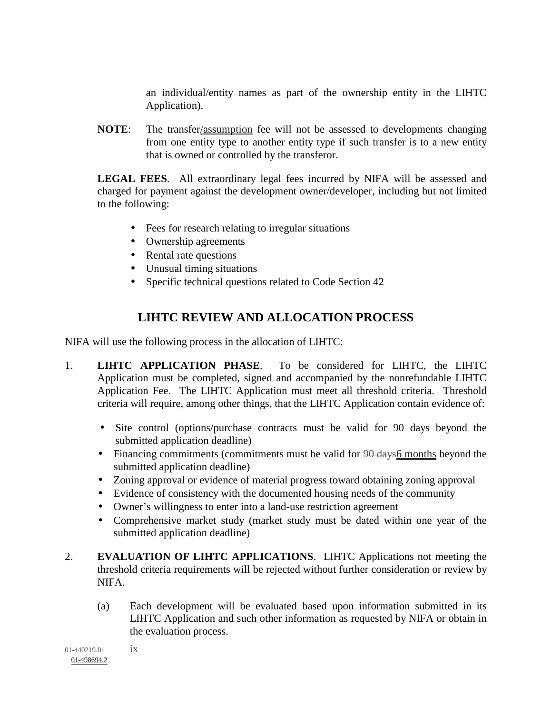an individual/entity names as part of the ownership entity in the LIHTC Application).

**NOTE**: The transfer/assumption fee will not be assessed to developments changing from one entity type to another entity type if such transfer is to a new entity that is owned or controlled by the transferor.

**LEGAL FEES**. All extraordinary legal fees incurred by NIFA will be assessed and charged for payment against the development owner/developer, including but not limited to the following:

- Fees for research relating to irregular situations
- Ownership agreements
- Rental rate questions
- Unusual timing situations
- Specific technical questions related to Code Section 42

#### **LIHTC REVIEW AND ALLOCATION PROCESS**

NIFA will use the following process in the allocation of LIHTC:

- 1. **LIHTC APPLICATION PHASE**. To be considered for LIHTC, the LIHTC Application must be completed, signed and accompanied by the nonrefundable LIHTC Application Fee. The LIHTC Application must meet all threshold criteria. Threshold criteria will require, among other things, that the LIHTC Application contain evidence of:
	- Site control (options/purchase contracts must be valid for 90 days beyond the submitted application deadline)
	- Financing commitments (commitments must be valid for 90 days 6 months beyond the submitted application deadline)
	- Zoning approval or evidence of material progress toward obtaining zoning approval
	- Evidence of consistency with the documented housing needs of the community
	- Owner's willingness to enter into a land-use restriction agreement
	- Comprehensive market study (market study must be dated within one year of the submitted application deadline)
- 2. **EVALUATION OF LIHTC APPLICATIONS**. LIHTC Applications not meeting the threshold criteria requirements will be rejected without further consideration or review by NIFA.
	- (a) Each development will be evaluated based upon information submitted in its LIHTC Application and such other information as requested by NIFA or obtain in the evaluation process.

 $01-440219.01$  ix 01-498694.2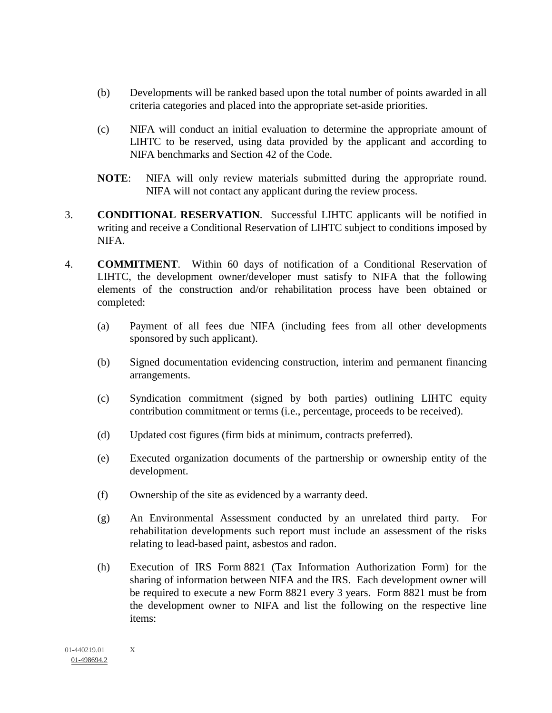- (b) Developments will be ranked based upon the total number of points awarded in all criteria categories and placed into the appropriate set-aside priorities.
- (c) NIFA will conduct an initial evaluation to determine the appropriate amount of LIHTC to be reserved, using data provided by the applicant and according to NIFA benchmarks and Section 42 of the Code.
- **NOTE**: NIFA will only review materials submitted during the appropriate round. NIFA will not contact any applicant during the review process.
- 3. **CONDITIONAL RESERVATION**. Successful LIHTC applicants will be notified in writing and receive a Conditional Reservation of LIHTC subject to conditions imposed by NIFA.
- 4. **COMMITMENT**. Within 60 days of notification of a Conditional Reservation of LIHTC, the development owner/developer must satisfy to NIFA that the following elements of the construction and/or rehabilitation process have been obtained or completed:
	- (a) Payment of all fees due NIFA (including fees from all other developments sponsored by such applicant).
	- (b) Signed documentation evidencing construction, interim and permanent financing arrangements.
	- (c) Syndication commitment (signed by both parties) outlining LIHTC equity contribution commitment or terms (i.e., percentage, proceeds to be received).
	- (d) Updated cost figures (firm bids at minimum, contracts preferred).
	- (e) Executed organization documents of the partnership or ownership entity of the development.
	- (f) Ownership of the site as evidenced by a warranty deed.
	- (g) An Environmental Assessment conducted by an unrelated third party. For rehabilitation developments such report must include an assessment of the risks relating to lead-based paint, asbestos and radon.
	- (h) Execution of IRS Form 8821 (Tax Information Authorization Form) for the sharing of information between NIFA and the IRS. Each development owner will be required to execute a new Form 8821 every 3 years. Form 8821 must be from the development owner to NIFA and list the following on the respective line items: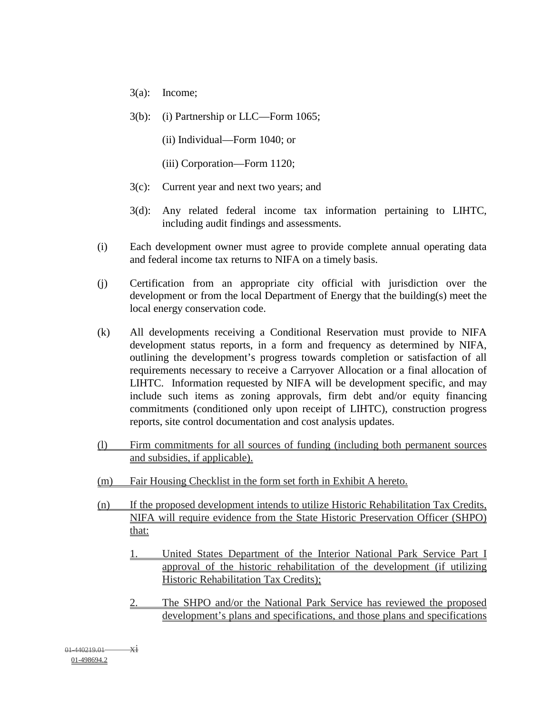- 3(a): Income;
- 3(b): (i) Partnership or LLC—Form 1065;
	- (ii) Individual—Form 1040; or
	- (iii) Corporation—Form 1120;
- 3(c): Current year and next two years; and
- 3(d): Any related federal income tax information pertaining to LIHTC, including audit findings and assessments.
- (i) Each development owner must agree to provide complete annual operating data and federal income tax returns to NIFA on a timely basis.
- (j) Certification from an appropriate city official with jurisdiction over the development or from the local Department of Energy that the building(s) meet the local energy conservation code.
- (k) All developments receiving a Conditional Reservation must provide to NIFA development status reports, in a form and frequency as determined by NIFA, outlining the development's progress towards completion or satisfaction of all requirements necessary to receive a Carryover Allocation or a final allocation of LIHTC. Information requested by NIFA will be development specific, and may include such items as zoning approvals, firm debt and/or equity financing commitments (conditioned only upon receipt of LIHTC), construction progress reports, site control documentation and cost analysis updates.
- (l) Firm commitments for all sources of funding (including both permanent sources and subsidies, if applicable).
- (m) Fair Housing Checklist in the form set forth in Exhibit A hereto.
- (n) If the proposed development intends to utilize Historic Rehabilitation Tax Credits, NIFA will require evidence from the State Historic Preservation Officer (SHPO) that:
	- 1. United States Department of the Interior National Park Service Part I approval of the historic rehabilitation of the development (if utilizing Historic Rehabilitation Tax Credits);
	- 2. The SHPO and/or the National Park Service has reviewed the proposed development's plans and specifications, and those plans and specifications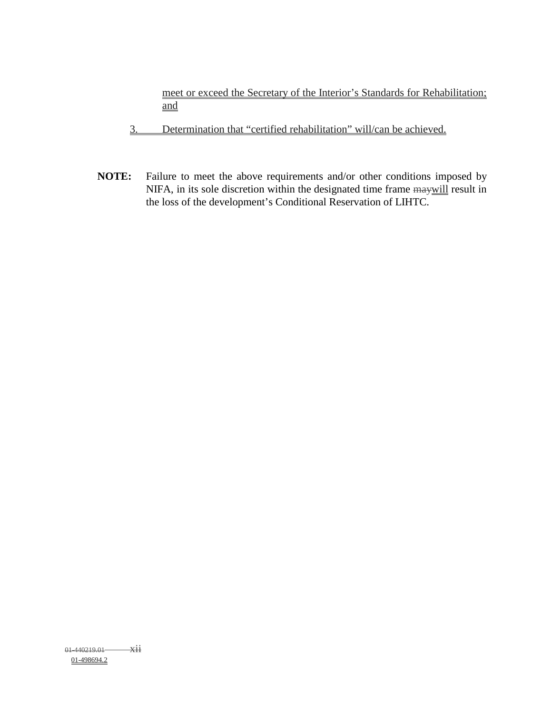meet or exceed the Secretary of the Interior's Standards for Rehabilitation; and

- 3. Determination that "certified rehabilitation" will/can be achieved.
- **NOTE:** Failure to meet the above requirements and/or other conditions imposed by NIFA, in its sole discretion within the designated time frame maywill result in the loss of the development's Conditional Reservation of LIHTC.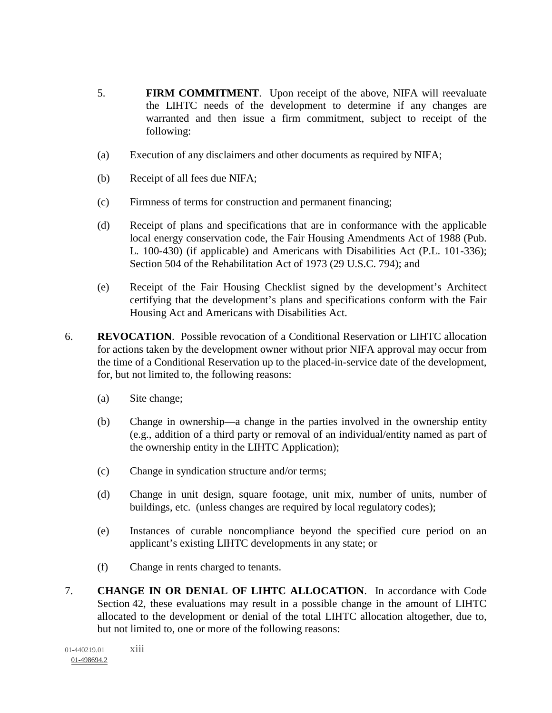- 5. **FIRM COMMITMENT**. Upon receipt of the above, NIFA will reevaluate the LIHTC needs of the development to determine if any changes are warranted and then issue a firm commitment, subject to receipt of the following:
- (a) Execution of any disclaimers and other documents as required by NIFA;
- (b) Receipt of all fees due NIFA;
- (c) Firmness of terms for construction and permanent financing;
- (d) Receipt of plans and specifications that are in conformance with the applicable local energy conservation code, the Fair Housing Amendments Act of 1988 (Pub. L. 100-430) (if applicable) and Americans with Disabilities Act (P.L. 101-336); Section 504 of the Rehabilitation Act of 1973 (29 U.S.C. 794); and
- (e) Receipt of the Fair Housing Checklist signed by the development's Architect certifying that the development's plans and specifications conform with the Fair Housing Act and Americans with Disabilities Act.
- 6. **REVOCATION**.Possible revocation of a Conditional Reservation or LIHTC allocation for actions taken by the development owner without prior NIFA approval may occur from the time of a Conditional Reservation up to the placed-in-service date of the development, for, but not limited to, the following reasons:
	- (a) Site change;
	- (b) Change in ownership—a change in the parties involved in the ownership entity (e.g., addition of a third party or removal of an individual/entity named as part of the ownership entity in the LIHTC Application);
	- (c) Change in syndication structure and/or terms;
	- (d) Change in unit design, square footage, unit mix, number of units, number of buildings, etc. (unless changes are required by local regulatory codes);
	- (e) Instances of curable noncompliance beyond the specified cure period on an applicant's existing LIHTC developments in any state; or
	- (f) Change in rents charged to tenants.
- 7. **CHANGE IN OR DENIAL OF LIHTC ALLOCATION**. In accordance with Code Section 42, these evaluations may result in a possible change in the amount of LIHTC allocated to the development or denial of the total LIHTC allocation altogether, due to, but not limited to, one or more of the following reasons: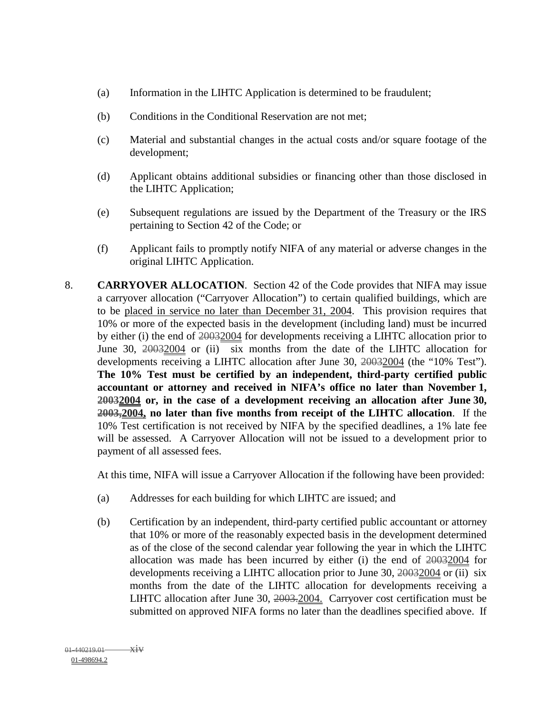- (a) Information in the LIHTC Application is determined to be fraudulent;
- (b) Conditions in the Conditional Reservation are not met;
- (c) Material and substantial changes in the actual costs and/or square footage of the development;
- (d) Applicant obtains additional subsidies or financing other than those disclosed in the LIHTC Application;
- (e) Subsequent regulations are issued by the Department of the Treasury or the IRS pertaining to Section 42 of the Code; or
- (f) Applicant fails to promptly notify NIFA of any material or adverse changes in the original LIHTC Application.
- 8. **CARRYOVER ALLOCATION**. Section 42 of the Code provides that NIFA may issue a carryover allocation ("Carryover Allocation") to certain qualified buildings, which are to be placed in service no later than December 31, 2004. This provision requires that 10% or more of the expected basis in the development (including land) must be incurred by either (i) the end of 20032004 for developments receiving a LIHTC allocation prior to June 30, 20032004 or (ii) six months from the date of the LIHTC allocation for developments receiving a LIHTC allocation after June 30, 20032004 (the "10% Test"). **The 10% Test must be certified by an independent, third-party certified public accountant or attorney and received in NIFA's office no later than November 1, 20032004 or, in the case of a development receiving an allocation after June 30, 2003,2004, no later than five months from receipt of the LIHTC allocation**. If the 10% Test certification is not received by NIFA by the specified deadlines, a 1% late fee will be assessed. A Carryover Allocation will not be issued to a development prior to payment of all assessed fees.

At this time, NIFA will issue a Carryover Allocation if the following have been provided:

- (a) Addresses for each building for which LIHTC are issued; and
- (b) Certification by an independent, third-party certified public accountant or attorney that 10% or more of the reasonably expected basis in the development determined as of the close of the second calendar year following the year in which the LIHTC allocation was made has been incurred by either (i) the end of 20032004 for developments receiving a LIHTC allocation prior to June 30, 20032004 or (ii) six months from the date of the LIHTC allocation for developments receiving a LIHTC allocation after June 30, 2003.2004. Carryover cost certification must be submitted on approved NIFA forms no later than the deadlines specified above. If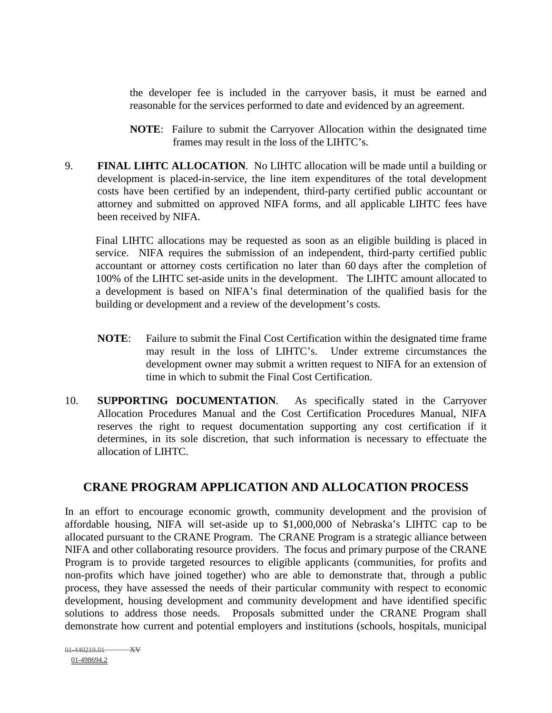the developer fee is included in the carryover basis, it must be earned and reasonable for the services performed to date and evidenced by an agreement.

- **NOTE**: Failure to submit the Carryover Allocation within the designated time frames may result in the loss of the LIHTC's.
- 9. **FINAL LIHTC ALLOCATION**. No LIHTC allocation will be made until a building or development is placed-in-service, the line item expenditures of the total development costs have been certified by an independent, third-party certified public accountant or attorney and submitted on approved NIFA forms, and all applicable LIHTC fees have been received by NIFA.

Final LIHTC allocations may be requested as soon as an eligible building is placed in service. NIFA requires the submission of an independent, third-party certified public accountant or attorney costs certification no later than 60 days after the completion of 100% of the LIHTC set-aside units in the development. The LIHTC amount allocated to a development is based on NIFA's final determination of the qualified basis for the building or development and a review of the development's costs.

- **NOTE**: Failure to submit the Final Cost Certification within the designated time frame may result in the loss of LIHTC's. Under extreme circumstances the development owner may submit a written request to NIFA for an extension of time in which to submit the Final Cost Certification.
- 10. **SUPPORTING DOCUMENTATION**. As specifically stated in the Carryover Allocation Procedures Manual and the Cost Certification Procedures Manual, NIFA reserves the right to request documentation supporting any cost certification if it determines, in its sole discretion, that such information is necessary to effectuate the allocation of LIHTC.

#### **CRANE PROGRAM APPLICATION AND ALLOCATION PROCESS**

In an effort to encourage economic growth, community development and the provision of affordable housing, NIFA will set-aside up to \$1,000,000 of Nebraska's LIHTC cap to be allocated pursuant to the CRANE Program. The CRANE Program is a strategic alliance between NIFA and other collaborating resource providers. The focus and primary purpose of the CRANE Program is to provide targeted resources to eligible applicants (communities, for profits and non-profits which have joined together) who are able to demonstrate that, through a public process, they have assessed the needs of their particular community with respect to economic development, housing development and community development and have identified specific solutions to address those needs. Proposals submitted under the CRANE Program shall demonstrate how current and potential employers and institutions (schools, hospitals, municipal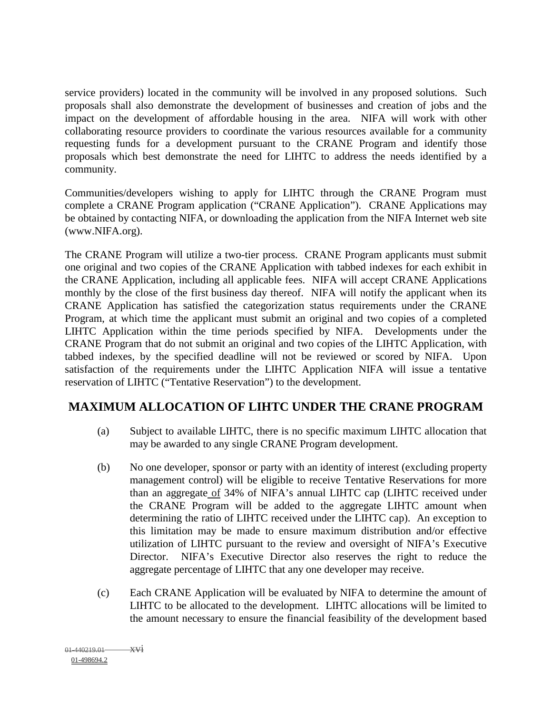service providers) located in the community will be involved in any proposed solutions. Such proposals shall also demonstrate the development of businesses and creation of jobs and the impact on the development of affordable housing in the area. NIFA will work with other collaborating resource providers to coordinate the various resources available for a community requesting funds for a development pursuant to the CRANE Program and identify those proposals which best demonstrate the need for LIHTC to address the needs identified by a community.

Communities/developers wishing to apply for LIHTC through the CRANE Program must complete a CRANE Program application ("CRANE Application"). CRANE Applications may be obtained by contacting NIFA, or downloading the application from the NIFA Internet web site (www.NIFA.org).

The CRANE Program will utilize a two-tier process. CRANE Program applicants must submit one original and two copies of the CRANE Application with tabbed indexes for each exhibit in the CRANE Application, including all applicable fees. NIFA will accept CRANE Applications monthly by the close of the first business day thereof. NIFA will notify the applicant when its CRANE Application has satisfied the categorization status requirements under the CRANE Program, at which time the applicant must submit an original and two copies of a completed LIHTC Application within the time periods specified by NIFA. Developments under the CRANE Program that do not submit an original and two copies of the LIHTC Application, with tabbed indexes, by the specified deadline will not be reviewed or scored by NIFA. Upon satisfaction of the requirements under the LIHTC Application NIFA will issue a tentative reservation of LIHTC ("Tentative Reservation") to the development.

#### **MAXIMUM ALLOCATION OF LIHTC UNDER THE CRANE PROGRAM**

- (a) Subject to available LIHTC, there is no specific maximum LIHTC allocation that may be awarded to any single CRANE Program development.
- (b) No one developer, sponsor or party with an identity of interest (excluding property management control) will be eligible to receive Tentative Reservations for more than an aggregate of 34% of NIFA's annual LIHTC cap (LIHTC received under the CRANE Program will be added to the aggregate LIHTC amount when determining the ratio of LIHTC received under the LIHTC cap). An exception to this limitation may be made to ensure maximum distribution and/or effective utilization of LIHTC pursuant to the review and oversight of NIFA's Executive Director. NIFA's Executive Director also reserves the right to reduce the aggregate percentage of LIHTC that any one developer may receive.
- (c) Each CRANE Application will be evaluated by NIFA to determine the amount of LIHTC to be allocated to the development. LIHTC allocations will be limited to the amount necessary to ensure the financial feasibility of the development based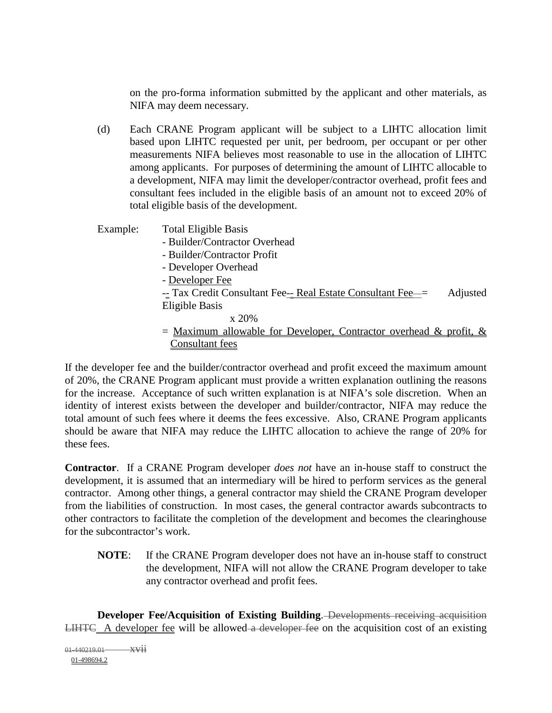on the pro-forma information submitted by the applicant and other materials, as NIFA may deem necessary.

- (d) Each CRANE Program applicant will be subject to a LIHTC allocation limit based upon LIHTC requested per unit, per bedroom, per occupant or per other measurements NIFA believes most reasonable to use in the allocation of LIHTC among applicants. For purposes of determining the amount of LIHTC allocable to a development, NIFA may limit the developer/contractor overhead, profit fees and consultant fees included in the eligible basis of an amount not to exceed 20% of total eligible basis of the development.
- Example: Total Eligible Basis - Builder/Contractor Overhead - Builder/Contractor Profit - Developer Overhead - Developer Fee  $-$  Tax Credit Consultant Fee $-$  Real Estate Consultant Fee $=$  Adjusted Eligible Basis x 20%  $=$  Maximum allowable for Developer, Contractor overhead & profit, &

If the developer fee and the builder/contractor overhead and profit exceed the maximum amount of 20%, the CRANE Program applicant must provide a written explanation outlining the reasons for the increase. Acceptance of such written explanation is at NIFA's sole discretion. When an identity of interest exists between the developer and builder/contractor, NIFA may reduce the total amount of such fees where it deems the fees excessive. Also, CRANE Program applicants should be aware that NIFA may reduce the LIHTC allocation to achieve the range of 20% for these fees.

Consultant fees

**Contractor**. If a CRANE Program developer *does not* have an in-house staff to construct the development, it is assumed that an intermediary will be hired to perform services as the general contractor. Among other things, a general contractor may shield the CRANE Program developer from the liabilities of construction. In most cases, the general contractor awards subcontracts to other contractors to facilitate the completion of the development and becomes the clearinghouse for the subcontractor's work.

**NOTE**: If the CRANE Program developer does not have an in-house staff to construct the development, NIFA will not allow the CRANE Program developer to take any contractor overhead and profit fees.

**Developer Fee/Acquisition of Existing Building**. Developments receiving acquisition LIHTC A developer fee will be allowed a developer fee on the acquisition cost of an existing

 $01-440219.01$   $xvii$ 01-498694.2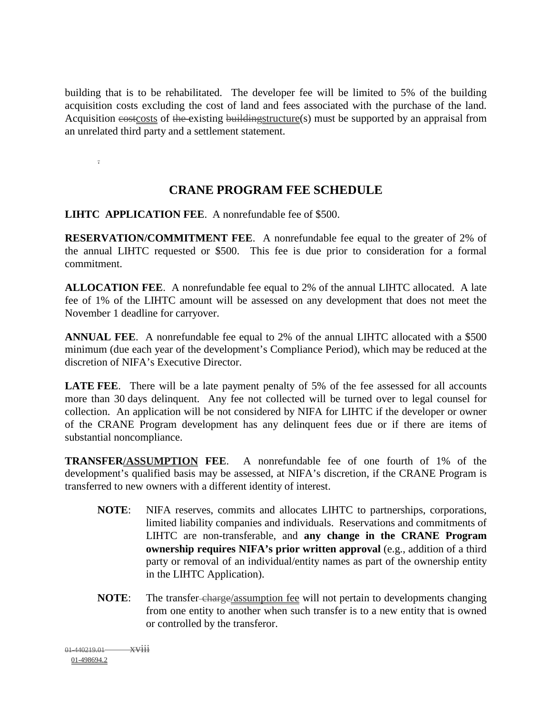building that is to be rehabilitated. The developer fee will be limited to 5% of the building acquisition costs excluding the cost of land and fees associated with the purchase of the land. Acquisition costcosts of the existing buildingstructure(s) must be supported by an appraisal from an unrelated third party and a settlement statement.

**CRANE PROGRAM FEE SCHEDULE** 

**LIHTC APPLICATION FEE**. A nonrefundable fee of \$500.

**RESERVATION/COMMITMENT FEE**. A nonrefundable fee equal to the greater of 2% of the annual LIHTC requested or \$500. This fee is due prior to consideration for a formal commitment.

**ALLOCATION FEE**. A nonrefundable fee equal to 2% of the annual LIHTC allocated. A late fee of 1% of the LIHTC amount will be assessed on any development that does not meet the November 1 deadline for carryover.

**ANNUAL FEE**. A nonrefundable fee equal to 2% of the annual LIHTC allocated with a \$500 minimum (due each year of the development's Compliance Period), which may be reduced at the discretion of NIFA's Executive Director.

**LATE FEE.** There will be a late payment penalty of 5% of the fee assessed for all accounts more than 30 days delinquent. Any fee not collected will be turned over to legal counsel for collection. An application will be not considered by NIFA for LIHTC if the developer or owner of the CRANE Program development has any delinquent fees due or if there are items of substantial noncompliance.

**TRANSFER/ASSUMPTION FEE**. A nonrefundable fee of one fourth of 1% of the development's qualified basis may be assessed, at NIFA's discretion, if the CRANE Program is transferred to new owners with a different identity of interest.

- **NOTE**: NIFA reserves, commits and allocates LIHTC to partnerships, corporations, limited liability companies and individuals. Reservations and commitments of LIHTC are non-transferable, and **any change in the CRANE Program ownership requires NIFA's prior written approval** (e.g., addition of a third party or removal of an individual/entity names as part of the ownership entity in the LIHTC Application).
- **NOTE:** The transfer-charge/assumption fee will not pertain to developments changing from one entity to another when such transfer is to a new entity that is owned or controlled by the transferor.

 $01-440219.01$  xviii 01-498694.2

.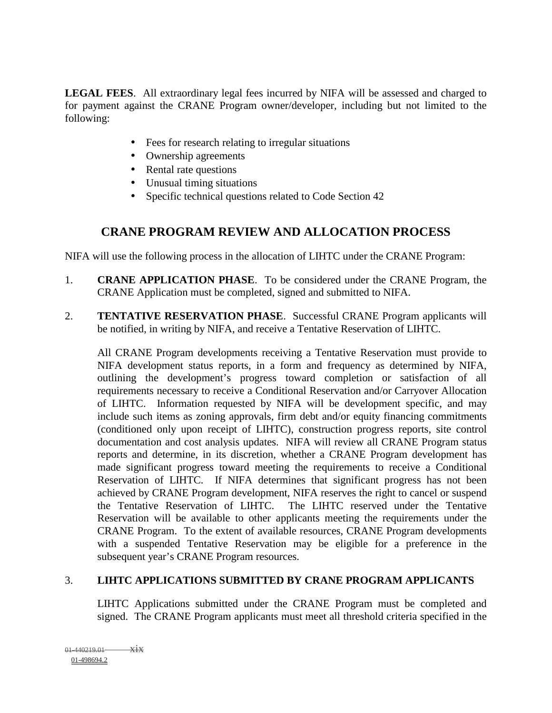**LEGAL FEES**. All extraordinary legal fees incurred by NIFA will be assessed and charged to for payment against the CRANE Program owner/developer, including but not limited to the following:

- Fees for research relating to irregular situations
- Ownership agreements
- Rental rate questions
- Unusual timing situations
- Specific technical questions related to Code Section 42

#### **CRANE PROGRAM REVIEW AND ALLOCATION PROCESS**

NIFA will use the following process in the allocation of LIHTC under the CRANE Program:

- 1. **CRANE APPLICATION PHASE**. To be considered under the CRANE Program, the CRANE Application must be completed, signed and submitted to NIFA.
- 2. **TENTATIVE RESERVATION PHASE**. Successful CRANE Program applicants will be notified, in writing by NIFA, and receive a Tentative Reservation of LIHTC.

All CRANE Program developments receiving a Tentative Reservation must provide to NIFA development status reports, in a form and frequency as determined by NIFA, outlining the development's progress toward completion or satisfaction of all requirements necessary to receive a Conditional Reservation and/or Carryover Allocation of LIHTC. Information requested by NIFA will be development specific, and may include such items as zoning approvals, firm debt and/or equity financing commitments (conditioned only upon receipt of LIHTC), construction progress reports, site control documentation and cost analysis updates. NIFA will review all CRANE Program status reports and determine, in its discretion, whether a CRANE Program development has made significant progress toward meeting the requirements to receive a Conditional Reservation of LIHTC. If NIFA determines that significant progress has not been achieved by CRANE Program development, NIFA reserves the right to cancel or suspend the Tentative Reservation of LIHTC. The LIHTC reserved under the Tentative Reservation will be available to other applicants meeting the requirements under the CRANE Program. To the extent of available resources, CRANE Program developments with a suspended Tentative Reservation may be eligible for a preference in the subsequent year's CRANE Program resources.

#### 3. **LIHTC APPLICATIONS SUBMITTED BY CRANE PROGRAM APPLICANTS**

LIHTC Applications submitted under the CRANE Program must be completed and signed. The CRANE Program applicants must meet all threshold criteria specified in the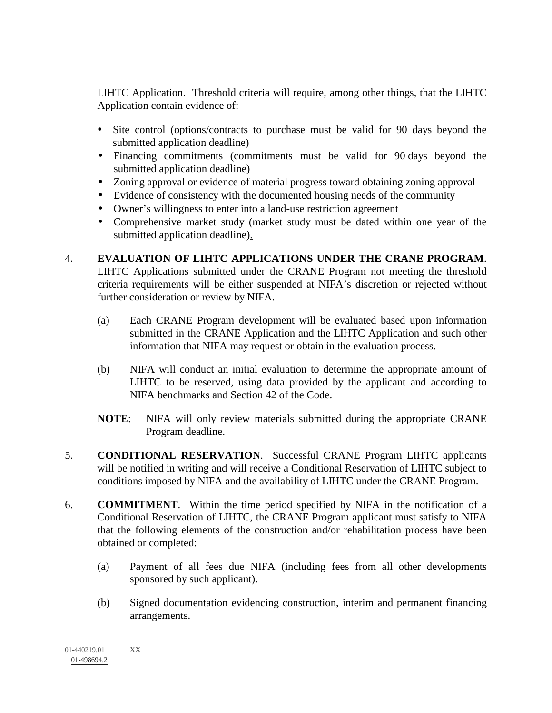LIHTC Application. Threshold criteria will require, among other things, that the LIHTC Application contain evidence of:

- Site control (options/contracts to purchase must be valid for 90 days beyond the submitted application deadline)
- Financing commitments (commitments must be valid for 90 days beyond the submitted application deadline)
- Zoning approval or evidence of material progress toward obtaining zoning approval
- Evidence of consistency with the documented housing needs of the community
- Owner's willingness to enter into a land-use restriction agreement
- Comprehensive market study (market study must be dated within one year of the submitted application deadline).

#### 4. **EVALUATION OF LIHTC APPLICATIONS UNDER THE CRANE PROGRAM**.

LIHTC Applications submitted under the CRANE Program not meeting the threshold criteria requirements will be either suspended at NIFA's discretion or rejected without further consideration or review by NIFA.

- (a) Each CRANE Program development will be evaluated based upon information submitted in the CRANE Application and the LIHTC Application and such other information that NIFA may request or obtain in the evaluation process.
- (b) NIFA will conduct an initial evaluation to determine the appropriate amount of LIHTC to be reserved, using data provided by the applicant and according to NIFA benchmarks and Section 42 of the Code.
- **NOTE**: NIFA will only review materials submitted during the appropriate CRANE Program deadline.
- 5. **CONDITIONAL RESERVATION**. Successful CRANE Program LIHTC applicants will be notified in writing and will receive a Conditional Reservation of LIHTC subject to conditions imposed by NIFA and the availability of LIHTC under the CRANE Program.
- 6. **COMMITMENT**. Within the time period specified by NIFA in the notification of a Conditional Reservation of LIHTC, the CRANE Program applicant must satisfy to NIFA that the following elements of the construction and/or rehabilitation process have been obtained or completed:
	- (a) Payment of all fees due NIFA (including fees from all other developments sponsored by such applicant).
	- (b) Signed documentation evidencing construction, interim and permanent financing arrangements.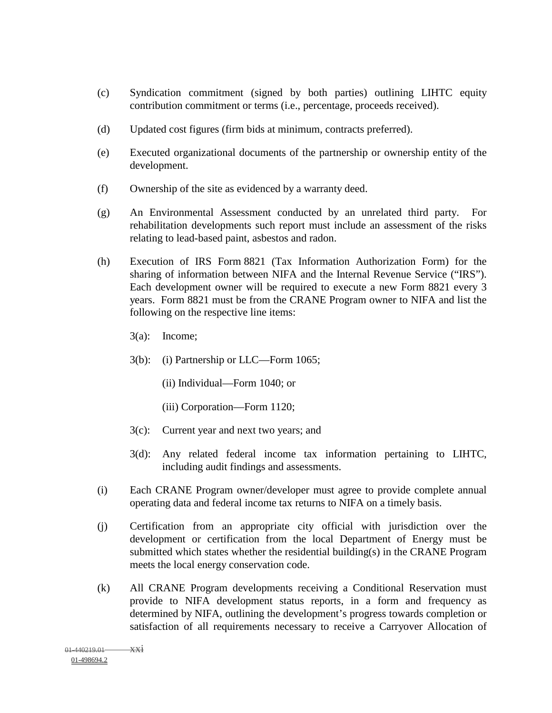- (c) Syndication commitment (signed by both parties) outlining LIHTC equity contribution commitment or terms (i.e., percentage, proceeds received).
- (d) Updated cost figures (firm bids at minimum, contracts preferred).
- (e) Executed organizational documents of the partnership or ownership entity of the development.
- (f) Ownership of the site as evidenced by a warranty deed.
- (g) An Environmental Assessment conducted by an unrelated third party. For rehabilitation developments such report must include an assessment of the risks relating to lead-based paint, asbestos and radon.
- (h) Execution of IRS Form 8821 (Tax Information Authorization Form) for the sharing of information between NIFA and the Internal Revenue Service ("IRS"). Each development owner will be required to execute a new Form 8821 every 3 years. Form 8821 must be from the CRANE Program owner to NIFA and list the following on the respective line items:
	- 3(a): Income;
	- 3(b): (i) Partnership or LLC—Form 1065;
		- (ii) Individual—Form 1040; or
		- (iii) Corporation—Form 1120;
	- 3(c): Current year and next two years; and
	- 3(d): Any related federal income tax information pertaining to LIHTC, including audit findings and assessments.
- (i) Each CRANE Program owner/developer must agree to provide complete annual operating data and federal income tax returns to NIFA on a timely basis.
- (j) Certification from an appropriate city official with jurisdiction over the development or certification from the local Department of Energy must be submitted which states whether the residential building(s) in the CRANE Program meets the local energy conservation code.
- (k) All CRANE Program developments receiving a Conditional Reservation must provide to NIFA development status reports, in a form and frequency as determined by NIFA, outlining the development's progress towards completion or satisfaction of all requirements necessary to receive a Carryover Allocation of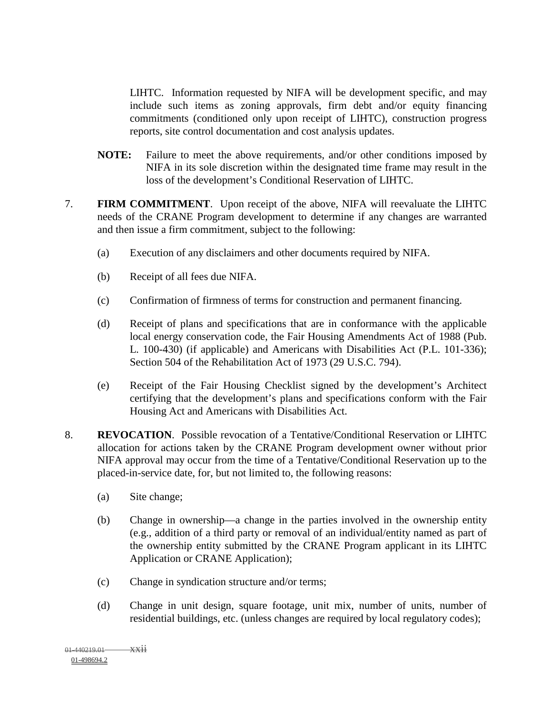LIHTC. Information requested by NIFA will be development specific, and may include such items as zoning approvals, firm debt and/or equity financing commitments (conditioned only upon receipt of LIHTC), construction progress reports, site control documentation and cost analysis updates.

- **NOTE:** Failure to meet the above requirements, and/or other conditions imposed by NIFA in its sole discretion within the designated time frame may result in the loss of the development's Conditional Reservation of LIHTC.
- 7. **FIRM COMMITMENT**. Upon receipt of the above, NIFA will reevaluate the LIHTC needs of the CRANE Program development to determine if any changes are warranted and then issue a firm commitment, subject to the following:
	- (a) Execution of any disclaimers and other documents required by NIFA.
	- (b) Receipt of all fees due NIFA.
	- (c) Confirmation of firmness of terms for construction and permanent financing.
	- (d) Receipt of plans and specifications that are in conformance with the applicable local energy conservation code, the Fair Housing Amendments Act of 1988 (Pub. L. 100-430) (if applicable) and Americans with Disabilities Act (P.L. 101-336); Section 504 of the Rehabilitation Act of 1973 (29 U.S.C. 794).
	- (e) Receipt of the Fair Housing Checklist signed by the development's Architect certifying that the development's plans and specifications conform with the Fair Housing Act and Americans with Disabilities Act.
- 8. **REVOCATION**.Possible revocation of a Tentative/Conditional Reservation or LIHTC allocation for actions taken by the CRANE Program development owner without prior NIFA approval may occur from the time of a Tentative/Conditional Reservation up to the placed-in-service date, for, but not limited to, the following reasons:
	- (a) Site change;
	- (b) Change in ownership—a change in the parties involved in the ownership entity (e.g., addition of a third party or removal of an individual/entity named as part of the ownership entity submitted by the CRANE Program applicant in its LIHTC Application or CRANE Application);
	- (c) Change in syndication structure and/or terms;
	- (d) Change in unit design, square footage, unit mix, number of units, number of residential buildings, etc. (unless changes are required by local regulatory codes);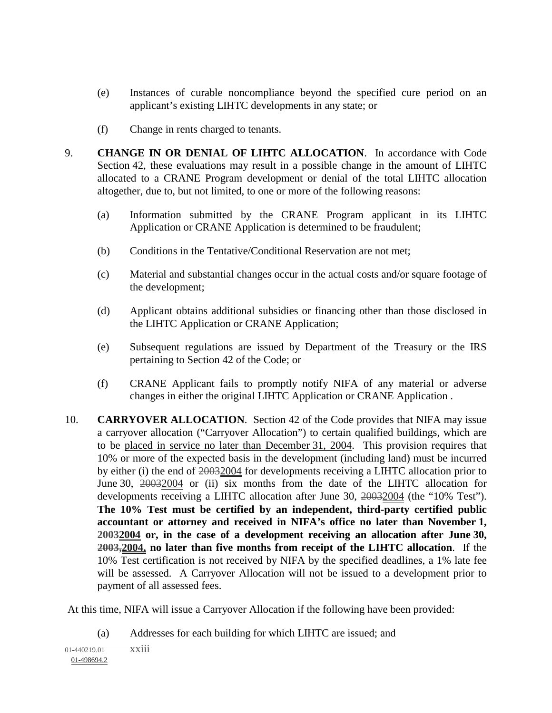- (e) Instances of curable noncompliance beyond the specified cure period on an applicant's existing LIHTC developments in any state; or
- (f) Change in rents charged to tenants.
- 9. **CHANGE IN OR DENIAL OF LIHTC ALLOCATION**. In accordance with Code Section 42, these evaluations may result in a possible change in the amount of LIHTC allocated to a CRANE Program development or denial of the total LIHTC allocation altogether, due to, but not limited, to one or more of the following reasons:
	- (a) Information submitted by the CRANE Program applicant in its LIHTC Application or CRANE Application is determined to be fraudulent;
	- (b) Conditions in the Tentative/Conditional Reservation are not met;
	- (c) Material and substantial changes occur in the actual costs and/or square footage of the development;
	- (d) Applicant obtains additional subsidies or financing other than those disclosed in the LIHTC Application or CRANE Application;
	- (e) Subsequent regulations are issued by Department of the Treasury or the IRS pertaining to Section 42 of the Code; or
	- (f) CRANE Applicant fails to promptly notify NIFA of any material or adverse changes in either the original LIHTC Application or CRANE Application .
- 10. **CARRYOVER ALLOCATION**. Section 42 of the Code provides that NIFA may issue a carryover allocation ("Carryover Allocation") to certain qualified buildings, which are to be placed in service no later than December 31, 2004. This provision requires that 10% or more of the expected basis in the development (including land) must be incurred by either (i) the end of 20032004 for developments receiving a LIHTC allocation prior to June 30,  $20032004$  or (ii) six months from the date of the LIHTC allocation for developments receiving a LIHTC allocation after June 30, 20032004 (the "10% Test"). **The 10% Test must be certified by an independent, third-party certified public accountant or attorney and received in NIFA's office no later than November 1, 20032004 or, in the case of a development receiving an allocation after June 30, 2003,2004, no later than five months from receipt of the LIHTC allocation**. If the 10% Test certification is not received by NIFA by the specified deadlines, a 1% late fee will be assessed. A Carryover Allocation will not be issued to a development prior to payment of all assessed fees.

At this time, NIFA will issue a Carryover Allocation if the following have been provided:

(a) Addresses for each building for which LIHTC are issued; and

 $01-440219.01$   $\overrightarrow{X X 111}$ 01-498694.2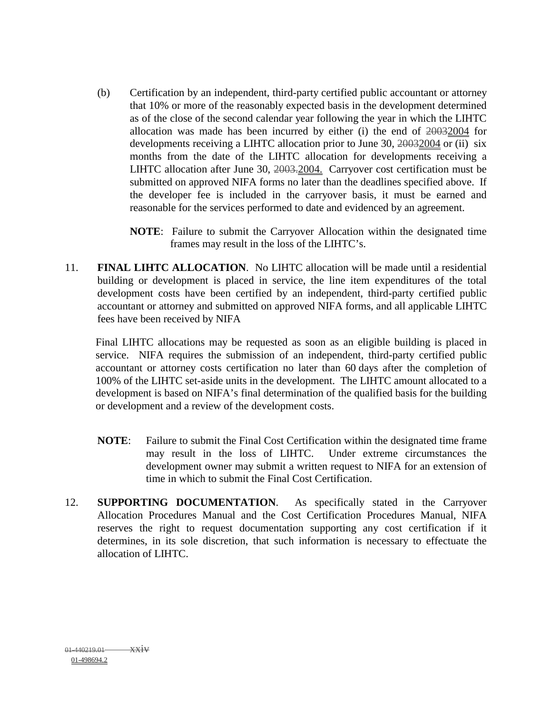- (b) Certification by an independent, third-party certified public accountant or attorney that 10% or more of the reasonably expected basis in the development determined as of the close of the second calendar year following the year in which the LIHTC allocation was made has been incurred by either (i) the end of  $20032004$  for developments receiving a LIHTC allocation prior to June 30, 20032004 or (ii) six months from the date of the LIHTC allocation for developments receiving a LIHTC allocation after June 30, 2003.2004. Carryover cost certification must be submitted on approved NIFA forms no later than the deadlines specified above. If the developer fee is included in the carryover basis, it must be earned and reasonable for the services performed to date and evidenced by an agreement.
	- **NOTE**: Failure to submit the Carryover Allocation within the designated time frames may result in the loss of the LIHTC's.
- 11. **FINAL LIHTC ALLOCATION**. No LIHTC allocation will be made until a residential building or development is placed in service, the line item expenditures of the total development costs have been certified by an independent, third-party certified public accountant or attorney and submitted on approved NIFA forms, and all applicable LIHTC fees have been received by NIFA

Final LIHTC allocations may be requested as soon as an eligible building is placed in service. NIFA requires the submission of an independent, third-party certified public accountant or attorney costs certification no later than 60 days after the completion of 100% of the LIHTC set-aside units in the development. The LIHTC amount allocated to a development is based on NIFA's final determination of the qualified basis for the building or development and a review of the development costs.

- **NOTE**: Failure to submit the Final Cost Certification within the designated time frame may result in the loss of LIHTC. Under extreme circumstances the development owner may submit a written request to NIFA for an extension of time in which to submit the Final Cost Certification.
- 12. **SUPPORTING DOCUMENTATION**. As specifically stated in the Carryover Allocation Procedures Manual and the Cost Certification Procedures Manual, NIFA reserves the right to request documentation supporting any cost certification if it determines, in its sole discretion, that such information is necessary to effectuate the allocation of LIHTC.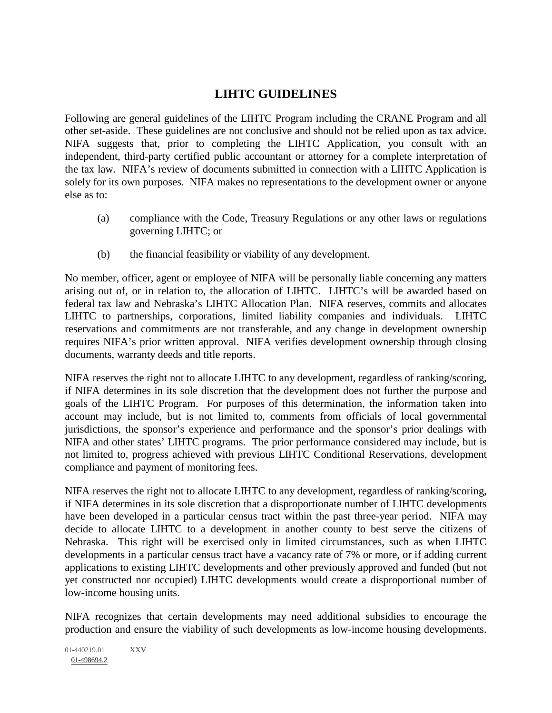## **LIHTC GUIDELINES**

Following are general guidelines of the LIHTC Program including the CRANE Program and all other set-aside. These guidelines are not conclusive and should not be relied upon as tax advice. NIFA suggests that, prior to completing the LIHTC Application, you consult with an independent, third-party certified public accountant or attorney for a complete interpretation of the tax law. NIFA's review of documents submitted in connection with a LIHTC Application is solely for its own purposes. NIFA makes no representations to the development owner or anyone else as to:

- (a) compliance with the Code, Treasury Regulations or any other laws or regulations governing LIHTC; or
- (b) the financial feasibility or viability of any development.

No member, officer, agent or employee of NIFA will be personally liable concerning any matters arising out of, or in relation to, the allocation of LIHTC. LIHTC's will be awarded based on federal tax law and Nebraska's LIHTC Allocation Plan. NIFA reserves, commits and allocates LIHTC to partnerships, corporations, limited liability companies and individuals. LIHTC reservations and commitments are not transferable, and any change in development ownership requires NIFA's prior written approval. NIFA verifies development ownership through closing documents, warranty deeds and title reports.

NIFA reserves the right not to allocate LIHTC to any development, regardless of ranking/scoring, if NIFA determines in its sole discretion that the development does not further the purpose and goals of the LIHTC Program. For purposes of this determination, the information taken into account may include, but is not limited to, comments from officials of local governmental jurisdictions, the sponsor's experience and performance and the sponsor's prior dealings with NIFA and other states' LIHTC programs. The prior performance considered may include, but is not limited to, progress achieved with previous LIHTC Conditional Reservations, development compliance and payment of monitoring fees.

NIFA reserves the right not to allocate LIHTC to any development, regardless of ranking/scoring, if NIFA determines in its sole discretion that a disproportionate number of LIHTC developments have been developed in a particular census tract within the past three-year period. NIFA may decide to allocate LIHTC to a development in another county to best serve the citizens of Nebraska. This right will be exercised only in limited circumstances, such as when LIHTC developments in a particular census tract have a vacancy rate of 7% or more, or if adding current applications to existing LIHTC developments and other previously approved and funded (but not yet constructed nor occupied) LIHTC developments would create a disproportional number of low-income housing units.

NIFA recognizes that certain developments may need additional subsidies to encourage the production and ensure the viability of such developments as low-income housing developments.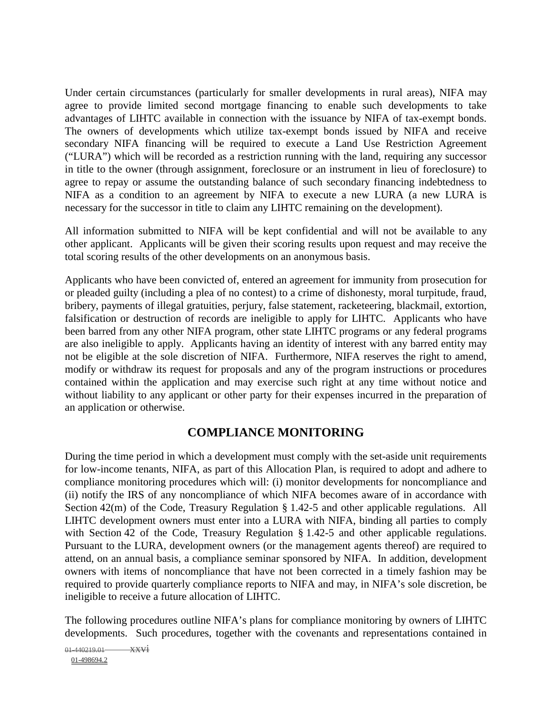Under certain circumstances (particularly for smaller developments in rural areas), NIFA may agree to provide limited second mortgage financing to enable such developments to take advantages of LIHTC available in connection with the issuance by NIFA of tax-exempt bonds. The owners of developments which utilize tax-exempt bonds issued by NIFA and receive secondary NIFA financing will be required to execute a Land Use Restriction Agreement ("LURA") which will be recorded as a restriction running with the land, requiring any successor in title to the owner (through assignment, foreclosure or an instrument in lieu of foreclosure) to agree to repay or assume the outstanding balance of such secondary financing indebtedness to NIFA as a condition to an agreement by NIFA to execute a new LURA (a new LURA is necessary for the successor in title to claim any LIHTC remaining on the development).

All information submitted to NIFA will be kept confidential and will not be available to any other applicant. Applicants will be given their scoring results upon request and may receive the total scoring results of the other developments on an anonymous basis.

Applicants who have been convicted of, entered an agreement for immunity from prosecution for or pleaded guilty (including a plea of no contest) to a crime of dishonesty, moral turpitude, fraud, bribery, payments of illegal gratuities, perjury, false statement, racketeering, blackmail, extortion, falsification or destruction of records are ineligible to apply for LIHTC. Applicants who have been barred from any other NIFA program, other state LIHTC programs or any federal programs are also ineligible to apply. Applicants having an identity of interest with any barred entity may not be eligible at the sole discretion of NIFA. Furthermore, NIFA reserves the right to amend, modify or withdraw its request for proposals and any of the program instructions or procedures contained within the application and may exercise such right at any time without notice and without liability to any applicant or other party for their expenses incurred in the preparation of an application or otherwise.

#### **COMPLIANCE MONITORING**

During the time period in which a development must comply with the set-aside unit requirements for low-income tenants, NIFA, as part of this Allocation Plan, is required to adopt and adhere to compliance monitoring procedures which will: (i) monitor developments for noncompliance and (ii) notify the IRS of any noncompliance of which NIFA becomes aware of in accordance with Section 42(m) of the Code, Treasury Regulation § 1.42-5 and other applicable regulations. All LIHTC development owners must enter into a LURA with NIFA, binding all parties to comply with Section 42 of the Code, Treasury Regulation § 1.42-5 and other applicable regulations. Pursuant to the LURA, development owners (or the management agents thereof) are required to attend, on an annual basis, a compliance seminar sponsored by NIFA. In addition, development owners with items of noncompliance that have not been corrected in a timely fashion may be required to provide quarterly compliance reports to NIFA and may, in NIFA's sole discretion, be ineligible to receive a future allocation of LIHTC.

The following procedures outline NIFA's plans for compliance monitoring by owners of LIHTC developments. Such procedures, together with the covenants and representations contained in

```
01-440219.01 \overrightarrow{XXV}01-498694.2
```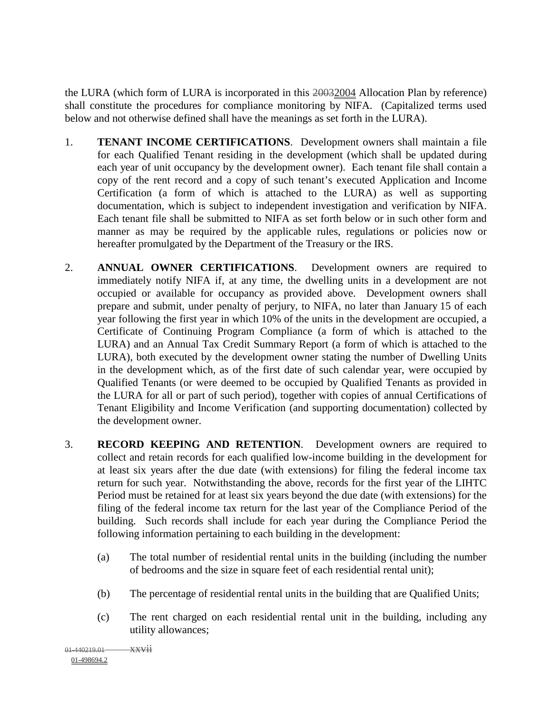the LURA (which form of LURA is incorporated in this 20032004 Allocation Plan by reference) shall constitute the procedures for compliance monitoring by NIFA. (Capitalized terms used below and not otherwise defined shall have the meanings as set forth in the LURA).

- 1. **TENANT INCOME CERTIFICATIONS**. Development owners shall maintain a file for each Qualified Tenant residing in the development (which shall be updated during each year of unit occupancy by the development owner). Each tenant file shall contain a copy of the rent record and a copy of such tenant's executed Application and Income Certification (a form of which is attached to the LURA) as well as supporting documentation, which is subject to independent investigation and verification by NIFA. Each tenant file shall be submitted to NIFA as set forth below or in such other form and manner as may be required by the applicable rules, regulations or policies now or hereafter promulgated by the Department of the Treasury or the IRS.
- 2. **ANNUAL OWNER CERTIFICATIONS**. Development owners are required to immediately notify NIFA if, at any time, the dwelling units in a development are not occupied or available for occupancy as provided above. Development owners shall prepare and submit, under penalty of perjury, to NIFA, no later than January 15 of each year following the first year in which 10% of the units in the development are occupied, a Certificate of Continuing Program Compliance (a form of which is attached to the LURA) and an Annual Tax Credit Summary Report (a form of which is attached to the LURA), both executed by the development owner stating the number of Dwelling Units in the development which, as of the first date of such calendar year, were occupied by Qualified Tenants (or were deemed to be occupied by Qualified Tenants as provided in the LURA for all or part of such period), together with copies of annual Certifications of Tenant Eligibility and Income Verification (and supporting documentation) collected by the development owner.
- 3. **RECORD KEEPING AND RETENTION**. Development owners are required to collect and retain records for each qualified low-income building in the development for at least six years after the due date (with extensions) for filing the federal income tax return for such year. Notwithstanding the above, records for the first year of the LIHTC Period must be retained for at least six years beyond the due date (with extensions) for the filing of the federal income tax return for the last year of the Compliance Period of the building. Such records shall include for each year during the Compliance Period the following information pertaining to each building in the development:
	- (a) The total number of residential rental units in the building (including the number of bedrooms and the size in square feet of each residential rental unit);
	- (b) The percentage of residential rental units in the building that are Qualified Units;
	- (c) The rent charged on each residential rental unit in the building, including any utility allowances;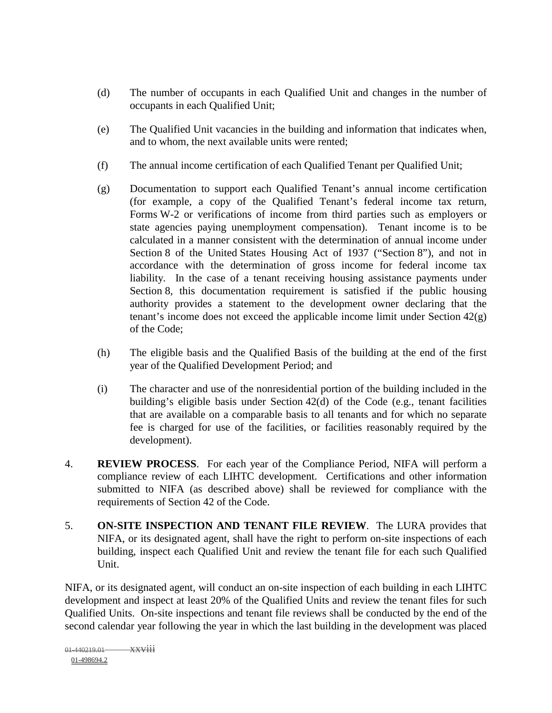- (d) The number of occupants in each Qualified Unit and changes in the number of occupants in each Qualified Unit;
- (e) The Qualified Unit vacancies in the building and information that indicates when, and to whom, the next available units were rented;
- (f) The annual income certification of each Qualified Tenant per Qualified Unit;
- (g) Documentation to support each Qualified Tenant's annual income certification (for example, a copy of the Qualified Tenant's federal income tax return, Forms W-2 or verifications of income from third parties such as employers or state agencies paying unemployment compensation). Tenant income is to be calculated in a manner consistent with the determination of annual income under Section 8 of the United States Housing Act of 1937 ("Section 8"), and not in accordance with the determination of gross income for federal income tax liability. In the case of a tenant receiving housing assistance payments under Section 8, this documentation requirement is satisfied if the public housing authority provides a statement to the development owner declaring that the tenant's income does not exceed the applicable income limit under Section 42(g) of the Code;
- (h) The eligible basis and the Qualified Basis of the building at the end of the first year of the Qualified Development Period; and
- (i) The character and use of the nonresidential portion of the building included in the building's eligible basis under Section 42(d) of the Code (e.g., tenant facilities that are available on a comparable basis to all tenants and for which no separate fee is charged for use of the facilities, or facilities reasonably required by the development).
- 4. **REVIEW PROCESS**. For each year of the Compliance Period, NIFA will perform a compliance review of each LIHTC development. Certifications and other information submitted to NIFA (as described above) shall be reviewed for compliance with the requirements of Section 42 of the Code.
- 5. **ON-SITE INSPECTION AND TENANT FILE REVIEW**. The LURA provides that NIFA, or its designated agent, shall have the right to perform on-site inspections of each building, inspect each Qualified Unit and review the tenant file for each such Qualified Unit.

NIFA, or its designated agent, will conduct an on-site inspection of each building in each LIHTC development and inspect at least 20% of the Qualified Units and review the tenant files for such Qualified Units. On-site inspections and tenant file reviews shall be conducted by the end of the second calendar year following the year in which the last building in the development was placed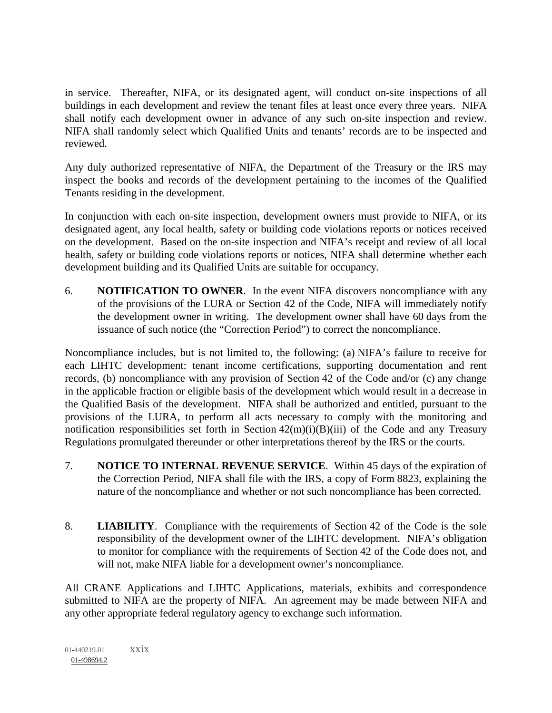in service. Thereafter, NIFA, or its designated agent, will conduct on-site inspections of all buildings in each development and review the tenant files at least once every three years. NIFA shall notify each development owner in advance of any such on-site inspection and review. NIFA shall randomly select which Qualified Units and tenants' records are to be inspected and reviewed.

Any duly authorized representative of NIFA, the Department of the Treasury or the IRS may inspect the books and records of the development pertaining to the incomes of the Qualified Tenants residing in the development.

In conjunction with each on-site inspection, development owners must provide to NIFA, or its designated agent, any local health, safety or building code violations reports or notices received on the development. Based on the on-site inspection and NIFA's receipt and review of all local health, safety or building code violations reports or notices, NIFA shall determine whether each development building and its Qualified Units are suitable for occupancy.

6. **NOTIFICATION TO OWNER**. In the event NIFA discovers noncompliance with any of the provisions of the LURA or Section 42 of the Code, NIFA will immediately notify the development owner in writing. The development owner shall have 60 days from the issuance of such notice (the "Correction Period") to correct the noncompliance.

Noncompliance includes, but is not limited to, the following: (a) NIFA's failure to receive for each LIHTC development: tenant income certifications, supporting documentation and rent records, (b) noncompliance with any provision of Section 42 of the Code and/or (c) any change in the applicable fraction or eligible basis of the development which would result in a decrease in the Qualified Basis of the development. NIFA shall be authorized and entitled, pursuant to the provisions of the LURA, to perform all acts necessary to comply with the monitoring and notification responsibilities set forth in Section 42(m)(i)(B)(iii) of the Code and any Treasury Regulations promulgated thereunder or other interpretations thereof by the IRS or the courts.

- 7. **NOTICE TO INTERNAL REVENUE SERVICE**. Within 45 days of the expiration of the Correction Period, NIFA shall file with the IRS, a copy of Form 8823, explaining the nature of the noncompliance and whether or not such noncompliance has been corrected.
- 8. **LIABILITY**. Compliance with the requirements of Section 42 of the Code is the sole responsibility of the development owner of the LIHTC development. NIFA's obligation to monitor for compliance with the requirements of Section 42 of the Code does not, and will not, make NIFA liable for a development owner's noncompliance.

All CRANE Applications and LIHTC Applications, materials, exhibits and correspondence submitted to NIFA are the property of NIFA. An agreement may be made between NIFA and any other appropriate federal regulatory agency to exchange such information.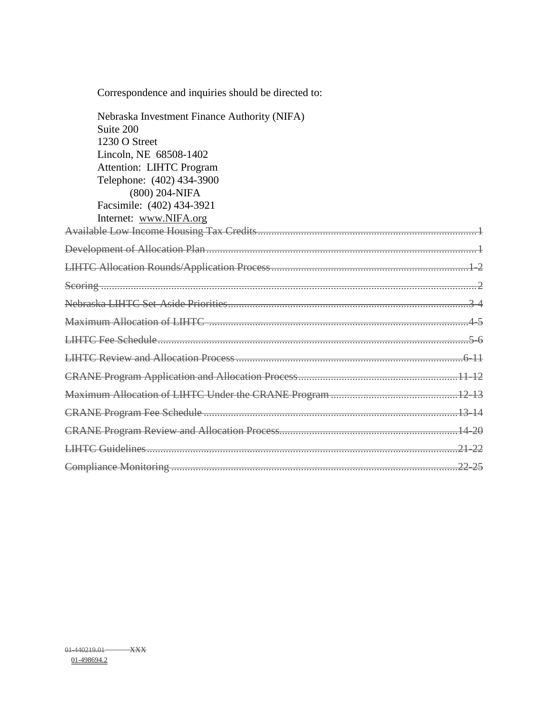| Correspondence and inquiries should be directed to: |
|-----------------------------------------------------|
| Nebraska Investment Finance Authority (NIFA)        |
| Suite 200                                           |
| 1230 O Street                                       |
| Lincoln, NE 68508-1402                              |
| <b>Attention: LIHTC Program</b>                     |
| Telephone: (402) 434-3900                           |
| (800) 204-NIFA                                      |
| Facsimile: (402) 434-3921                           |
| Internet: www.NIFA.org                              |
|                                                     |
|                                                     |
|                                                     |
|                                                     |
|                                                     |
|                                                     |
|                                                     |
|                                                     |
|                                                     |
|                                                     |
|                                                     |
|                                                     |
|                                                     |
|                                                     |
|                                                     |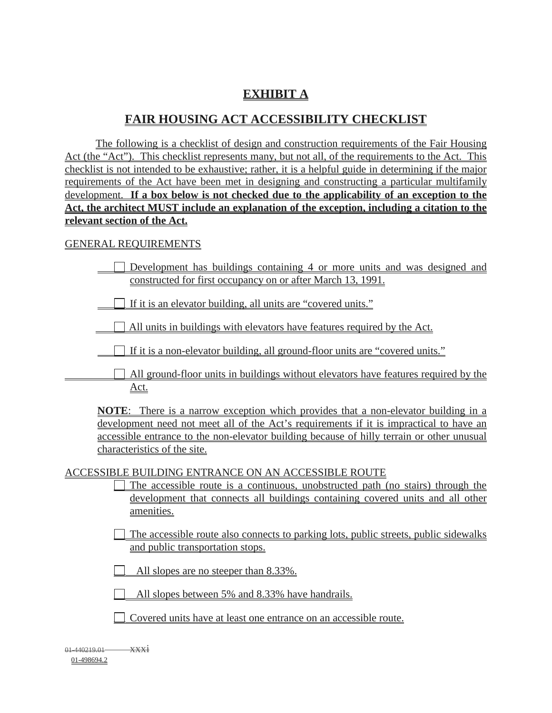## **EXHIBIT A**

## **FAIR HOUSING ACT ACCESSIBILITY CHECKLIST**

The following is a checklist of design and construction requirements of the Fair Housing Act (the "Act"). This checklist represents many, but not all, of the requirements to the Act. This checklist is not intended to be exhaustive; rather, it is a helpful guide in determining if the major requirements of the Act have been met in designing and constructing a particular multifamily development. **If a box below is not checked due to the applicability of an exception to the Act, the architect MUST include an explanation of the exception, including a citation to the relevant section of the Act.**

#### GENERAL REQUIREMENTS

| $\Box$ Development has buildings containing 4 or more units and was designed and |  |  |  |  |
|----------------------------------------------------------------------------------|--|--|--|--|
| constructed for first occupancy on or after March 13, 1991.                      |  |  |  |  |

If it is an elevator building, all units are "covered units."

 $\Box$  All units in buildings with elevators have features required by the Act.

If it is a non-elevator building, all ground-floor units are "covered units."

All ground-floor units in buildings without elevators have features required by the Act.

**NOTE**: There is a narrow exception which provides that a non-elevator building in a development need not meet all of the Act's requirements if it is impractical to have an accessible entrance to the non-elevator building because of hilly terrain or other unusual characteristics of the site.

ACCESSIBLE BUILDING ENTRANCE ON AN ACCESSIBLE ROUTE

| $\Box$ The accessible route is a continuous, unobstructed path (no stairs) through the |  |  |  |  |  |  |
|----------------------------------------------------------------------------------------|--|--|--|--|--|--|
| development that connects all buildings containing covered units and all other         |  |  |  |  |  |  |
| amenities.                                                                             |  |  |  |  |  |  |

The accessible route also connects to parking lots, public streets, public sidewalks and public transportation stops.

All slopes are no steeper than 8.33%.

All slopes between 5% and 8.33% have handrails.

| □ Covered units have at least one entrance on an accessible route. |
|--------------------------------------------------------------------|
|--------------------------------------------------------------------|

 $01-440219.01$   $\overline{\text{XX1}}$ 01-498694.2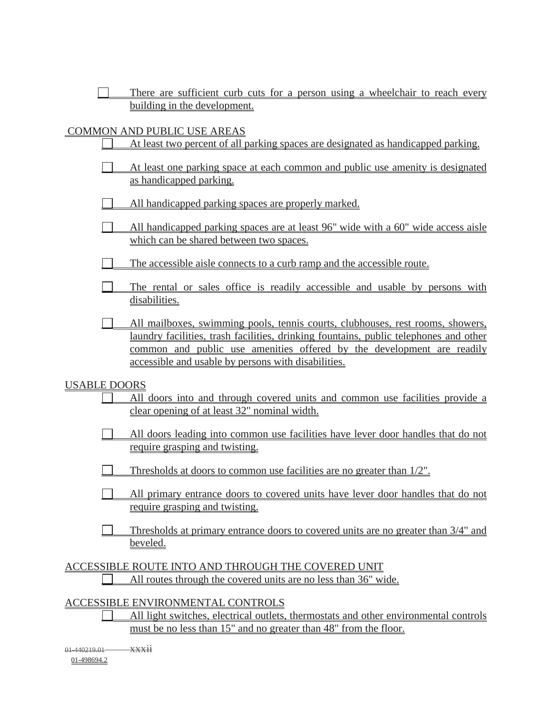|                              |  |  |  |  |  |  | There are sufficient curb cuts for a person using a wheelchair to reach every |  |  |
|------------------------------|--|--|--|--|--|--|-------------------------------------------------------------------------------|--|--|
| building in the development. |  |  |  |  |  |  |                                                                               |  |  |

#### COMMON AND PUBLIC USE AREAS

|  |  | At least two percent of all parking spaces are designated as handicapped parking. |
|--|--|-----------------------------------------------------------------------------------|
|  |  |                                                                                   |

- At least one parking space at each common and public use amenity is designated as handicapped parking.
- All handicapped parking spaces are properly marked.
- $\Box$ All handicapped parking spaces are at least 96" wide with a 60" wide access aisle which can be shared between two spaces.
- The accessible aisle connects to a curb ramp and the accessible route.
- The rental or sales office is readily accessible and usable by persons with disabilities.
- All mailboxes, swimming pools, tennis courts, clubhouses, rest rooms, showers, laundry facilities, trash facilities, drinking fountains, public telephones and other common and public use amenities offered by the development are readily accessible and usable by persons with disabilities.

#### USABLE DOORS

- All doors into and through covered units and common use facilities provide a clear opening of at least 32" nominal width.
- All doors leading into common use facilities have lever door handles that do not require grasping and twisting.
- Thresholds at doors to common use facilities are no greater than 1/2".
- $\Box$ All primary entrance doors to covered units have lever door handles that do not require grasping and twisting.
- Thresholds at primary entrance doors to covered units are no greater than 3/4" and beveled.

ACCESSIBLE ROUTE INTO AND THROUGH THE COVERED UNIT All routes through the covered units are no less than 36" wide.

#### ACCESSIBLE ENVIRONMENTAL CONTROLS

All light switches, electrical outlets, thermostats and other environmental controls must be no less than 15" and no greater than 48" from the floor.

01-440219.01 xxxii 01-498694.2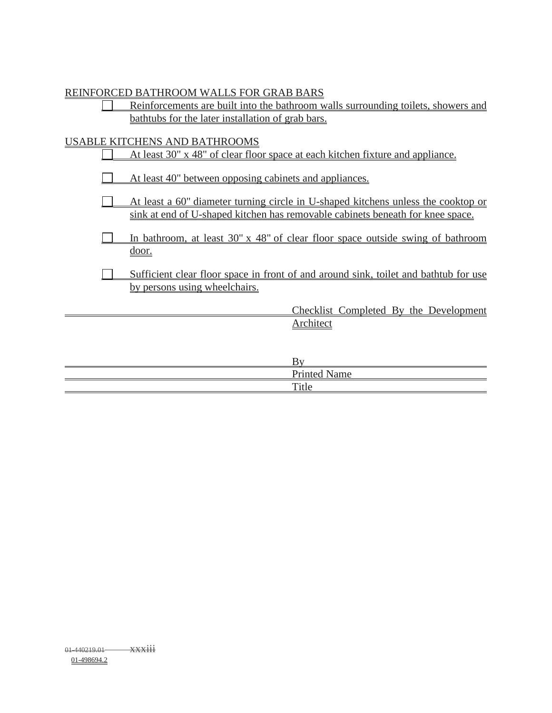#### REINFORCED BATHROOM WALLS FOR GRAB BARS

| Reinforcements are built into the bathroom walls surrounding toilets, showers and |  |
|-----------------------------------------------------------------------------------|--|
| bathtubs for the later installation of grab bars.                                 |  |

## USABLE KITCHENS AND BATHROOMS

| At least 30" x 48" of clear floor space at each kitchen fixture and appliance.                                                                                      |
|---------------------------------------------------------------------------------------------------------------------------------------------------------------------|
| At least 40" between opposing cabinets and appliances.                                                                                                              |
| At least a 60" diameter turning circle in U-shaped kitchens unless the cooktop or<br>sink at end of U-shaped kitchen has removable cabinets beneath for knee space. |
| In bathroom, at least 30" x 48" of clear floor space outside swing of bathroom<br><u>door.</u>                                                                      |
| Sufficient clear floor space in front of and around sink, toilet and bathtub for use<br>by persons using wheelchairs.                                               |
| Checklist Completed By the Development                                                                                                                              |
| Architect                                                                                                                                                           |
|                                                                                                                                                                     |
| By                                                                                                                                                                  |
| <b>Printed Name</b>                                                                                                                                                 |
| Title                                                                                                                                                               |